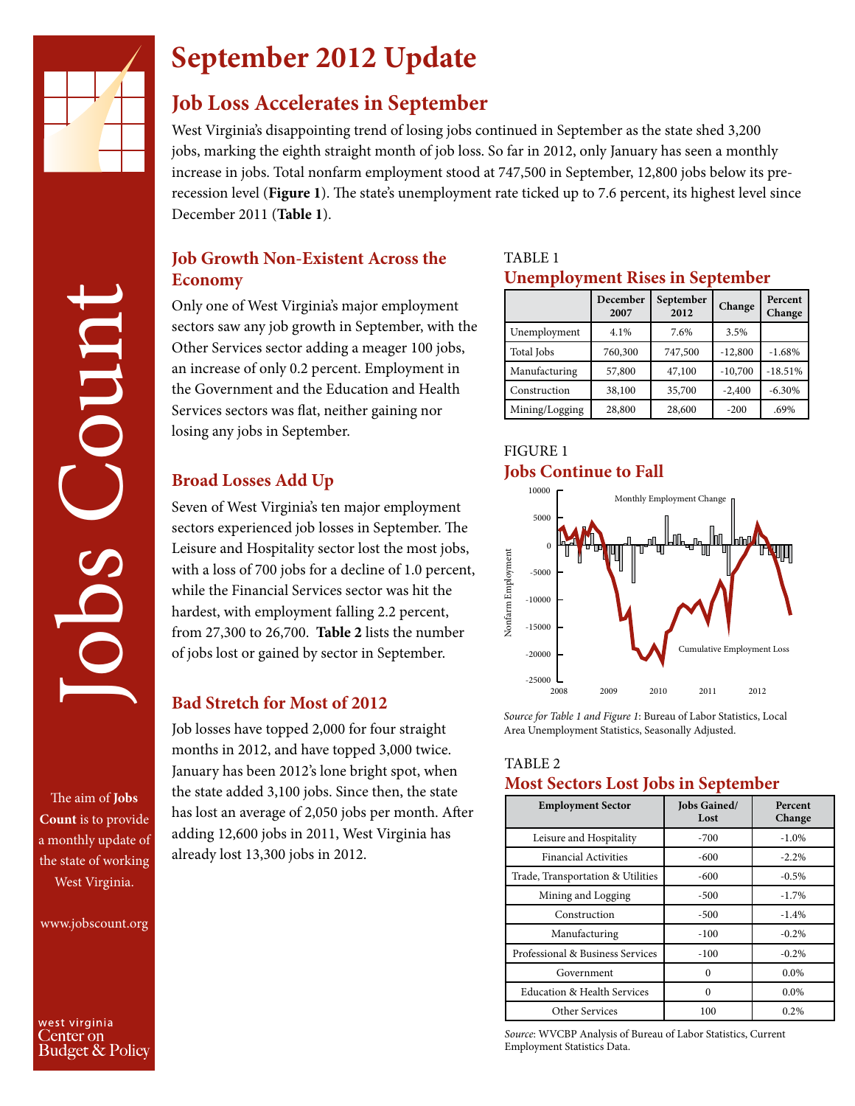

COUD<sup>®</sup>

# **September 2012 Update**

### **Job Loss Accelerates in September**

West Virginia's disappointing trend of losing jobs continued in September as the state shed 3,200 jobs, marking the eighth straight month of job loss. So far in 2012, only January has seen a monthly increase in jobs. Total nonfarm employment stood at 747,500 in September, 12,800 jobs below its prerecession level (**Figure 1**). The state's unemployment rate ticked up to 7.6 percent, its highest level since December 2011 (**Table 1**).

### **Job Growth Non-Existent Across the Economy**

Only one of West Virginia's major employment sectors saw any job growth in September, with the Other Services sector adding a meager 100 jobs, an increase of only 0.2 percent. Employment in the Government and the Education and Health Services sectors was flat, neither gaining nor losing any jobs in September.

#### **Broad Losses Add Up**

Seven of West Virginia's ten major employment sectors experienced job losses in September. The Leisure and Hospitality sector lost the most jobs, with a loss of 700 jobs for a decline of 1.0 percent, while the Financial Services sector was hit the hardest, with employment falling 2.2 percent, from 27,300 to 26,700. **Table 2** lists the number of jobs lost or gained by sector in September.

#### **Bad Stretch for Most of 2012**

Job losses have topped 2,000 for four straight months in 2012, and have topped 3,000 twice. January has been 2012's lone bright spot, when the state added 3,100 jobs. Since then, the state has lost an average of 2,050 jobs per month. After adding 12,600 jobs in 2011, West Virginia has already lost 13,300 jobs in 2012.

#### TABLE 1 **Unemployment Rises in September**

|                | December<br>2007 | September<br>2012 | Change    | Percent<br>Change |
|----------------|------------------|-------------------|-----------|-------------------|
| Unemployment   | 4.1%             | 7.6%              | 3.5%      |                   |
| Total Jobs     | 760,300          | 747,500           | $-12,800$ | $-1.68%$          |
| Manufacturing  | 57,800           | 47,100            | $-10,700$ | $-18.51%$         |
| Construction   | 38,100           | 35,700            | $-2,400$  | $-6.30%$          |
| Mining/Logging | 28,800           | 28,600            | $-200$    | .69%              |

#### FIGURE 1 **Jobs Continue to Fall**



*Source for Table 1 and Figure 1*: Bureau of Labor Statistics, Local

#### TABLE 2 **Most Sectors Lost Jobs in September**

| <b>Employment Sector</b>               | Jobs Gained/<br>Lost | Percent<br>Change |
|----------------------------------------|----------------------|-------------------|
| Leisure and Hospitality                | $-700$               | $-1.0\%$          |
| <b>Financial Activities</b>            | $-600$               | $-2.2%$           |
| Trade, Transportation & Utilities      | -600                 | $-0.5%$           |
| Mining and Logging                     | $-500$               | $-1.7\%$          |
| Construction                           | $-500$               | $-1.4%$           |
| Manufacturing                          | $-100$               | $-0.2\%$          |
| Professional & Business Services       | $-100$               | $-0.2\%$          |
| Government                             | $\Omega$             | 0.0%              |
| <b>Education &amp; Health Services</b> | 0                    | $0.0\%$           |
| Other Services                         | 100                  | 0.2%              |

*Source*: WVCBP Analysis of Bureau of Labor Statistics, Current Employment Statistics Data.

Jobs Count The aim of **Jobs Count** is to provide a monthly update of the state of working

www.jobscount.org

West Virginia.

west virginia Center on Budget & Policy